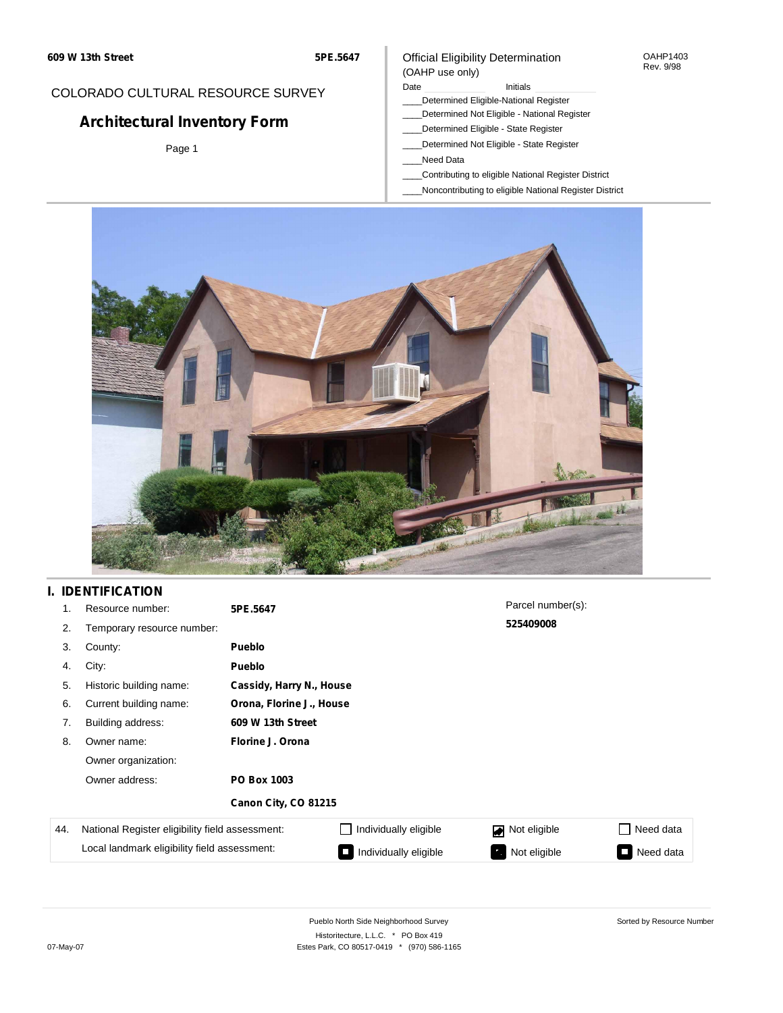#### OAHP1403 Rev. 9/98

### COLORADO CULTURAL RESOURCE SURVEY

# **Architectural Inventory Form**

Page 1

#### (OAHP use only) Date **Initials** Initials

Official Eligibility Determination

- \_\_\_\_Determined Eligible-National Register
- \_\_\_\_Determined Not Eligible National Register
- \_\_\_\_Determined Eligible State Register
- \_\_\_\_Determined Not Eligible State Register
- \_\_\_\_Need Data
- \_\_\_\_Contributing to eligible National Register District
- \_\_\_\_Noncontributing to eligible National Register District



### **I. IDENTIFICATION**

| 1.  | Resource number:                                | 5PE.5647             |                          | Parcel number(s): |                 |  |  |  |
|-----|-------------------------------------------------|----------------------|--------------------------|-------------------|-----------------|--|--|--|
| 2.  | Temporary resource number:                      |                      |                          | 525409008         |                 |  |  |  |
| 3.  | County:                                         | <b>Pueblo</b>        |                          |                   |                 |  |  |  |
| 4.  | City:                                           | <b>Pueblo</b>        |                          |                   |                 |  |  |  |
| 5.  | Historic building name:                         |                      | Cassidy, Harry N., House |                   |                 |  |  |  |
| 6.  | Current building name:                          |                      | Orona, Florine J., House |                   |                 |  |  |  |
| 7.  | Building address:                               | 609 W 13th Street    |                          |                   |                 |  |  |  |
| 8.  | Owner name:                                     | Florine J. Orona     |                          |                   |                 |  |  |  |
|     | Owner organization:                             |                      |                          |                   |                 |  |  |  |
|     | Owner address:                                  | <b>PO Box 1003</b>   |                          |                   |                 |  |  |  |
|     |                                                 | Canon City, CO 81215 |                          |                   |                 |  |  |  |
| 44. | National Register eligibility field assessment: |                      | Individually eligible    | Not eligible      | Need data       |  |  |  |
|     | Local landmark eligibility field assessment:    |                      | Individually eligible    | Not eligible      | Need data<br>I. |  |  |  |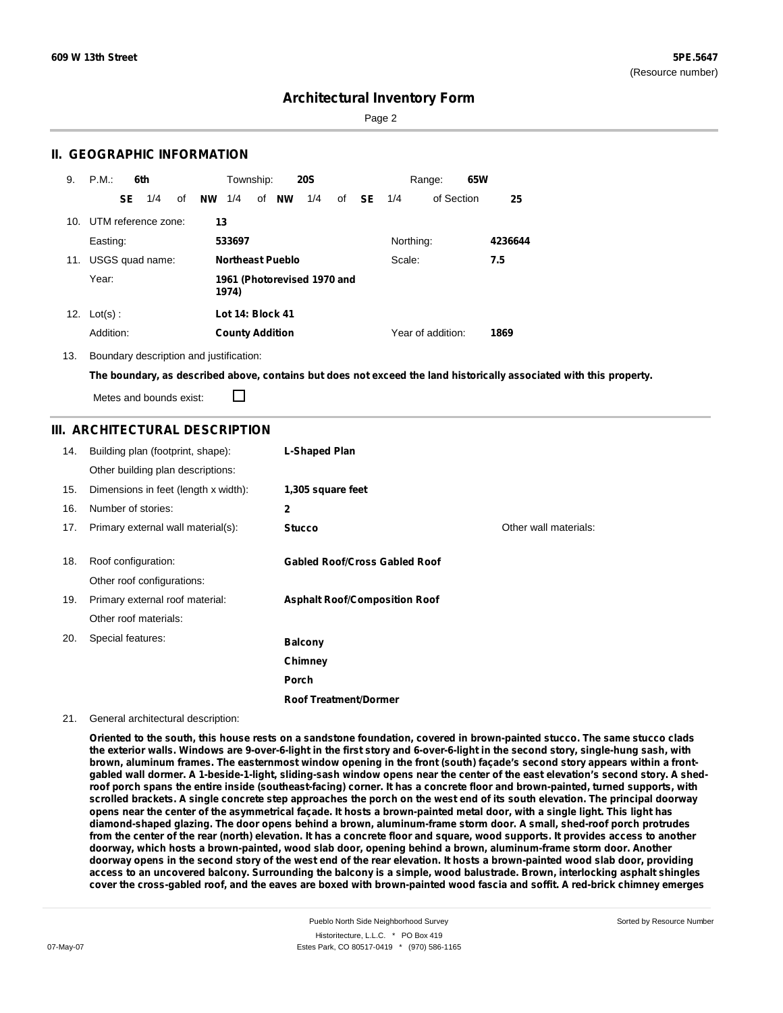Page 2

### **II. GEOGRAPHIC INFORMATION**

| 9.  | P.M.       |     | 6th                                  |    |           | Township:              |                         | <b>20S</b> |    |     |           | Range:            | 65W |         |
|-----|------------|-----|--------------------------------------|----|-----------|------------------------|-------------------------|------------|----|-----|-----------|-------------------|-----|---------|
|     |            | SE. | 1/4                                  | of | <b>NW</b> | 1/4                    | of <b>NW</b>            | 1/4        | of | SE. | 1/4       | of Section        |     | 25      |
| 10. |            |     | UTM reference zone:                  |    | 13        |                        |                         |            |    |     |           |                   |     |         |
|     | Easting:   |     |                                      |    |           | 533697                 |                         |            |    |     | Northing: |                   |     | 4236644 |
| 11. |            |     | USGS quad name:                      |    |           |                        | <b>Northeast Pueblo</b> |            |    |     | Scale:    |                   |     | 7.5     |
|     | Year:      |     | 1961 (Photorevised 1970 and<br>1974) |    |           |                        |                         |            |    |     |           |                   |     |         |
| 12. | $Lot(s)$ : |     |                                      |    |           | Lot 14: Block 41       |                         |            |    |     |           |                   |     |         |
|     | Addition:  |     |                                      |    |           | <b>County Addition</b> |                         |            |    |     |           | Year of addition: |     | 1869    |

13. Boundary description and justification:

The boundary, as described above, contains but does not exceed the land historically associated with this property.

П Metes and bounds exist:

### **III. ARCHITECTURAL DESCRIPTION**

| 14. | Building plan (footprint, shape):    | L-Shaped Plan                        |                       |
|-----|--------------------------------------|--------------------------------------|-----------------------|
|     | Other building plan descriptions:    |                                      |                       |
| 15. | Dimensions in feet (length x width): | 1,305 square feet                    |                       |
| 16. | Number of stories:                   | 2                                    |                       |
| 17. | Primary external wall material(s):   | <b>Stucco</b>                        | Other wall materials: |
|     |                                      |                                      |                       |
| 18. | Roof configuration:                  | <b>Gabled Roof/Cross Gabled Roof</b> |                       |
|     | Other roof configurations:           |                                      |                       |
| 19. | Primary external roof material:      | <b>Asphalt Roof/Composition Roof</b> |                       |
|     | Other roof materials:                |                                      |                       |
| 20. | Special features:                    | <b>Balcony</b>                       |                       |
|     |                                      | Chimney                              |                       |
|     |                                      | Porch                                |                       |
|     |                                      | <b>Roof Treatment/Dormer</b>         |                       |

#### 21. General architectural description:

Oriented to the south, this house rests on a sandstone foundation, covered in brown-painted stucco. The same stucco clads the exterior walls. Windows are 9-over-6-light in the first story and 6-over-6-light in the second story, single-hung sash, with brown, aluminum frames. The easternmost window opening in the front (south) façade's second story appears within a frontgabled wall dormer. A 1-beside-1-light, sliding-sash window opens near the center of the east elevation's second story. A shedroof porch spans the entire inside (southeast-facing) corner. It has a concrete floor and brown-painted, turned supports, with scrolled brackets. A single concrete step approaches the porch on the west end of its south elevation. The principal doorway opens near the center of the asymmetrical façade. It hosts a brown-painted metal door, with a single light. This light has diamond-shaped glazing. The door opens behind a brown, aluminum-frame storm door. A small, shed-roof porch protrudes from the center of the rear (north) elevation. It has a concrete floor and square, wood supports. It provides access to another **doorway, which hosts a brown-painted, wood slab door, opening behind a brown, aluminum-frame storm door. Another** doorway opens in the second story of the west end of the rear elevation. It hosts a brown-painted wood slab door, providing access to an uncovered balcony. Surrounding the balcony is a simple, wood balustrade. Brown, interlocking asphalt shingles cover the cross-gabled roof, and the eaves are boxed with brown-painted wood fascia and soffit. A red-brick chimney emerges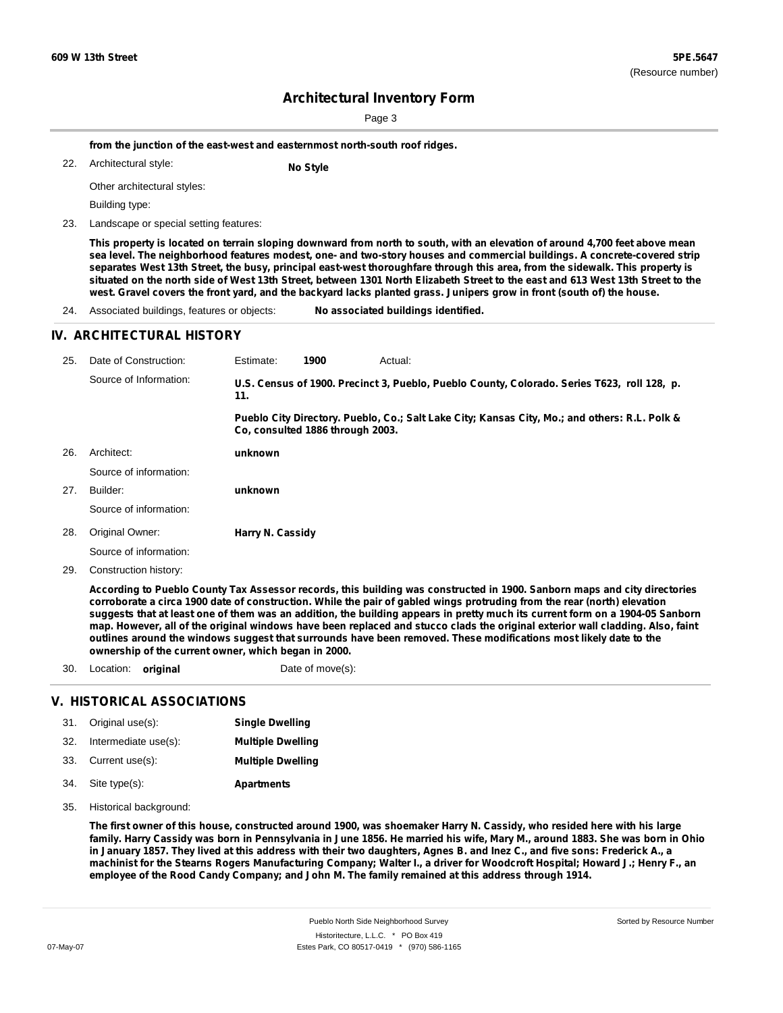Page 3

**from the junction of the east-west and easternmost north-south roof ridges.**

Architectural style: 22. **No Style**

Other architectural styles:

Building type:

23. Landscape or special setting features:

This property is located on terrain sloping downward from north to south, with an elevation of around 4,700 feet above mean sea level. The neighborhood features modest, one- and two-story houses and commercial buildings. A concrete-covered strip separates West 13th Street, the busy, principal east-west thoroughfare through this area, from the sidewalk. This property is situated on the north side of West 13th Street, between 1301 North Elizabeth Street to the east and 613 West 13th Street to the west. Gravel covers the front yard, and the backyard lacks planted grass. Junipers grow in front (south of) the house.

24. Associated buildings, features or objects: **No associated buildings identified.**

#### **IV. ARCHITECTURAL HISTORY**

| 25. | Date of Construction:                                                                                                                                                                                                                                                                                                                                                                                                                                                                                                    | Estimate:        | 1900                             | Actual:                                                                                       |  |
|-----|--------------------------------------------------------------------------------------------------------------------------------------------------------------------------------------------------------------------------------------------------------------------------------------------------------------------------------------------------------------------------------------------------------------------------------------------------------------------------------------------------------------------------|------------------|----------------------------------|-----------------------------------------------------------------------------------------------|--|
|     | Source of Information:                                                                                                                                                                                                                                                                                                                                                                                                                                                                                                   | 11.              |                                  | U.S. Census of 1900. Precinct 3, Pueblo, Pueblo County, Colorado. Series T623, roll 128, p.   |  |
|     |                                                                                                                                                                                                                                                                                                                                                                                                                                                                                                                          |                  | Co. consulted 1886 through 2003. | Pueblo City Directory. Pueblo, Co.; Salt Lake City; Kansas City, Mo.; and others: R.L. Polk & |  |
| 26. | Architect:                                                                                                                                                                                                                                                                                                                                                                                                                                                                                                               | unknown          |                                  |                                                                                               |  |
|     | Source of information:                                                                                                                                                                                                                                                                                                                                                                                                                                                                                                   |                  |                                  |                                                                                               |  |
| 27. | Builder:                                                                                                                                                                                                                                                                                                                                                                                                                                                                                                                 | unknown          |                                  |                                                                                               |  |
|     | Source of information:                                                                                                                                                                                                                                                                                                                                                                                                                                                                                                   |                  |                                  |                                                                                               |  |
| 28. | Original Owner:                                                                                                                                                                                                                                                                                                                                                                                                                                                                                                          | Harry N. Cassidy |                                  |                                                                                               |  |
|     | Source of information:                                                                                                                                                                                                                                                                                                                                                                                                                                                                                                   |                  |                                  |                                                                                               |  |
| 29. | Construction history:                                                                                                                                                                                                                                                                                                                                                                                                                                                                                                    |                  |                                  |                                                                                               |  |
|     | According to Pueblo County Tax Assessor records, this building was constructed in 1900. Sanborn maps and city directories<br>corroborate a circa 1900 date of construction. While the pair of gabled wings protruding from the rear (north) elevation<br>suggests that at least one of them was an addition, the building appears in pretty much its current form on a 1904-05 Sanborn<br>map. However, all of the original windows have been replaced and stucco clads the original exterior wall cladding. Also, faint |                  |                                  |                                                                                               |  |

outlines around the windows suggest that surrounds have been removed. These modifications most likely date to the **ownership of the current owner, which began in 2000.**

30. Location: **original** Date of move(s):

#### **V. HISTORICAL ASSOCIATIONS**

| 31.  | Original use(s):     | <b>Single Dwelling</b>   |
|------|----------------------|--------------------------|
| -32. | Intermediate use(s): | <b>Multiple Dwelling</b> |
| 33.  | Current use(s):      | <b>Multiple Dwelling</b> |
| 34.  | Site type(s):        | <b>Apartments</b>        |

35. Historical background:

The first owner of this house, constructed around 1900, was shoemaker Harry N. Cassidy, who resided here with his large family. Harry Cassidy was born in Pennsylvania in June 1856. He married his wife, Mary M., around 1883. She was born in Ohio in January 1857. They lived at this address with their two daughters, Agnes B. and Inez C., and five sons: Frederick A., a machinist for the Stearns Rogers Manufacturing Company; Walter I., a driver for Woodcroft Hospital; Howard J.; Henry F., an **employee of the Rood Candy Company; and John M. The family remained at this address through 1914.**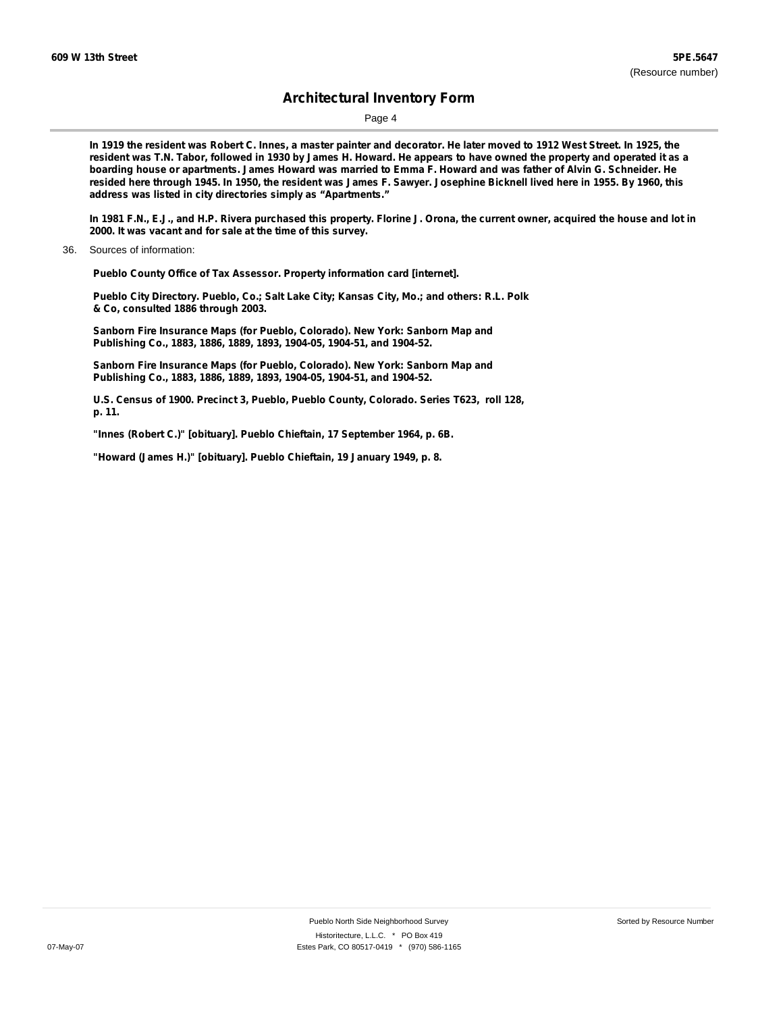Page 4

In 1919 the resident was Robert C. Innes, a master painter and decorator. He later moved to 1912 West Street. In 1925, the resident was T.N. Tabor, followed in 1930 by James H. Howard. He appears to have owned the property and operated it as a boarding house or apartments. James Howard was married to Emma F. Howard and was father of Alvin G. Schneider. He resided here through 1945. In 1950, the resident was James F. Sawyer. Josephine Bicknell lived here in 1955. By 1960, this **address was listed in city directories simply as "Apartments."**

In 1981 F.N., E.J., and H.P. Rivera purchased this property. Florine J. Orona, the current owner, acquired the house and lot in **2000. It was vacant and for sale at the time of this survey.**

36. Sources of information:

**Pueblo County Office of Tax Assessor. Property information card [internet].**

**Pueblo City Directory. Pueblo, Co.; Salt Lake City; Kansas City, Mo.; and others: R.L. Polk & Co, consulted 1886 through 2003.**

**Sanborn Fire Insurance Maps (for Pueblo, Colorado). New York: Sanborn Map and Publishing Co., 1883, 1886, 1889, 1893, 1904-05, 1904-51, and 1904-52.**

**Sanborn Fire Insurance Maps (for Pueblo, Colorado). New York: Sanborn Map and Publishing Co., 1883, 1886, 1889, 1893, 1904-05, 1904-51, and 1904-52.**

**U.S. Census of 1900. Precinct 3, Pueblo, Pueblo County, Colorado. Series T623, roll 128, p. 11.**

**"Innes (Robert C.)" [obituary]. Pueblo Chieftain, 17 September 1964, p. 6B.**

**"Howard (James H.)" [obituary]. Pueblo Chieftain, 19 January 1949, p. 8.**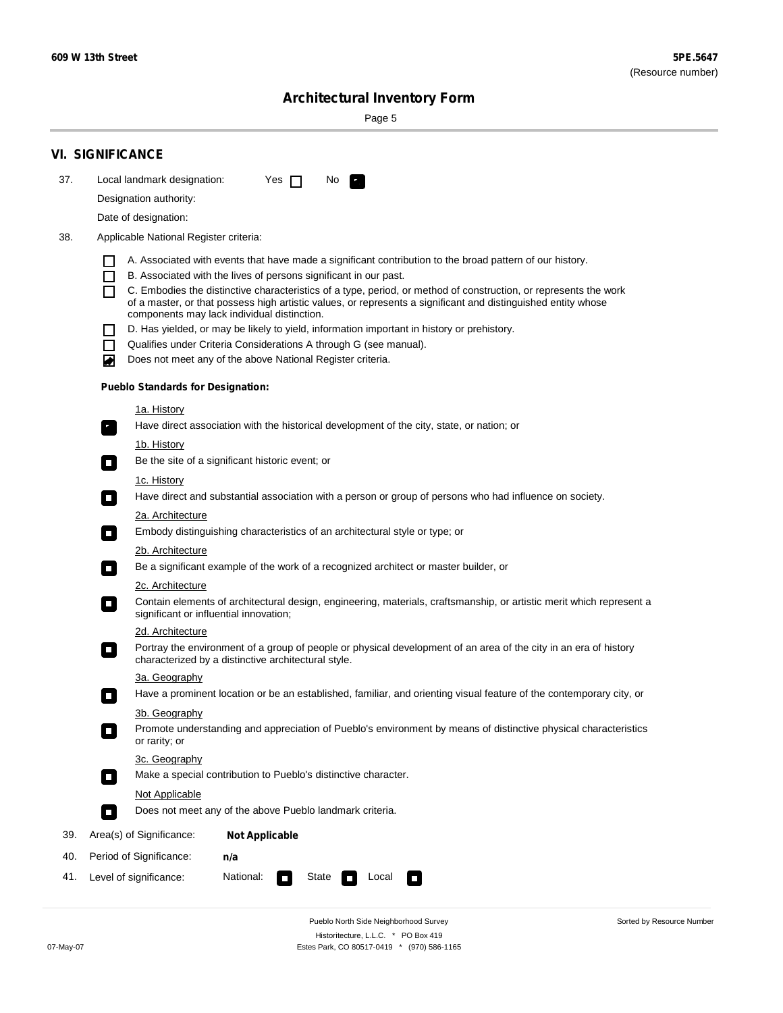$\sim$ 

Sorted by Resource Number

## **Architectural Inventory Form**

Page 5

|                                                                                                                                                                                                                                                                                                                                                                                                                                                                                                                                                                                                                                                                                                                                                                                                                                                                                                                                                                                                                                                                                                                                                                                                                                                                                                                                                                                                                                                                                                 | <b>VI. SIGNIFICANCE</b>                                                  |                                                                                                                                                                         |  |  |  |  |  |
|-------------------------------------------------------------------------------------------------------------------------------------------------------------------------------------------------------------------------------------------------------------------------------------------------------------------------------------------------------------------------------------------------------------------------------------------------------------------------------------------------------------------------------------------------------------------------------------------------------------------------------------------------------------------------------------------------------------------------------------------------------------------------------------------------------------------------------------------------------------------------------------------------------------------------------------------------------------------------------------------------------------------------------------------------------------------------------------------------------------------------------------------------------------------------------------------------------------------------------------------------------------------------------------------------------------------------------------------------------------------------------------------------------------------------------------------------------------------------------------------------|--------------------------------------------------------------------------|-------------------------------------------------------------------------------------------------------------------------------------------------------------------------|--|--|--|--|--|
| 37.                                                                                                                                                                                                                                                                                                                                                                                                                                                                                                                                                                                                                                                                                                                                                                                                                                                                                                                                                                                                                                                                                                                                                                                                                                                                                                                                                                                                                                                                                             | Local landmark designation:<br>Yes $\Box$<br>No.<br>$\mathcal{F}_\alpha$ |                                                                                                                                                                         |  |  |  |  |  |
|                                                                                                                                                                                                                                                                                                                                                                                                                                                                                                                                                                                                                                                                                                                                                                                                                                                                                                                                                                                                                                                                                                                                                                                                                                                                                                                                                                                                                                                                                                 | Designation authority:                                                   |                                                                                                                                                                         |  |  |  |  |  |
|                                                                                                                                                                                                                                                                                                                                                                                                                                                                                                                                                                                                                                                                                                                                                                                                                                                                                                                                                                                                                                                                                                                                                                                                                                                                                                                                                                                                                                                                                                 |                                                                          |                                                                                                                                                                         |  |  |  |  |  |
| 38.                                                                                                                                                                                                                                                                                                                                                                                                                                                                                                                                                                                                                                                                                                                                                                                                                                                                                                                                                                                                                                                                                                                                                                                                                                                                                                                                                                                                                                                                                             |                                                                          |                                                                                                                                                                         |  |  |  |  |  |
| Date of designation:<br>Applicable National Register criteria:<br>A. Associated with events that have made a significant contribution to the broad pattern of our history.<br>$\mathsf{L}$<br>П<br>B. Associated with the lives of persons significant in our past.<br>C. Embodies the distinctive characteristics of a type, period, or method of construction, or represents the work<br>П<br>of a master, or that possess high artistic values, or represents a significant and distinguished entity whose<br>components may lack individual distinction.<br>D. Has yielded, or may be likely to yield, information important in history or prehistory.<br>$\Box$<br>Qualifies under Criteria Considerations A through G (see manual).<br>П<br>Does not meet any of the above National Register criteria.<br>O<br><b>Pueblo Standards for Designation:</b><br>1a. History<br>Have direct association with the historical development of the city, state, or nation; or<br>$\mathbf{r}_\perp$<br><u>1b. History</u><br>Be the site of a significant historic event; or<br>$\overline{\phantom{a}}$<br>1c. History<br>Have direct and substantial association with a person or group of persons who had influence on society.<br>$\Box$<br>2a. Architecture<br>Embody distinguishing characteristics of an architectural style or type; or<br>$\Box$<br>2b. Architecture<br>Be a significant example of the work of a recognized architect or master builder, or<br>$\sim$<br>2c. Architecture |                                                                          |                                                                                                                                                                         |  |  |  |  |  |
|                                                                                                                                                                                                                                                                                                                                                                                                                                                                                                                                                                                                                                                                                                                                                                                                                                                                                                                                                                                                                                                                                                                                                                                                                                                                                                                                                                                                                                                                                                 | 2d. Architecture                                                         |                                                                                                                                                                         |  |  |  |  |  |
|                                                                                                                                                                                                                                                                                                                                                                                                                                                                                                                                                                                                                                                                                                                                                                                                                                                                                                                                                                                                                                                                                                                                                                                                                                                                                                                                                                                                                                                                                                 | $\overline{\phantom{a}}$                                                 | Portray the environment of a group of people or physical development of an area of the city in an era of history<br>characterized by a distinctive architectural style. |  |  |  |  |  |
|                                                                                                                                                                                                                                                                                                                                                                                                                                                                                                                                                                                                                                                                                                                                                                                                                                                                                                                                                                                                                                                                                                                                                                                                                                                                                                                                                                                                                                                                                                 | 3a. Geography                                                            |                                                                                                                                                                         |  |  |  |  |  |
|                                                                                                                                                                                                                                                                                                                                                                                                                                                                                                                                                                                                                                                                                                                                                                                                                                                                                                                                                                                                                                                                                                                                                                                                                                                                                                                                                                                                                                                                                                 |                                                                          | Have a prominent location or be an established, familiar, and orienting visual feature of the contemporary city, or                                                     |  |  |  |  |  |
|                                                                                                                                                                                                                                                                                                                                                                                                                                                                                                                                                                                                                                                                                                                                                                                                                                                                                                                                                                                                                                                                                                                                                                                                                                                                                                                                                                                                                                                                                                 | 3b. Geography<br>or rarity; or                                           | Promote understanding and appreciation of Pueblo's environment by means of distinctive physical characteristics                                                         |  |  |  |  |  |
|                                                                                                                                                                                                                                                                                                                                                                                                                                                                                                                                                                                                                                                                                                                                                                                                                                                                                                                                                                                                                                                                                                                                                                                                                                                                                                                                                                                                                                                                                                 | 3c. Geography                                                            |                                                                                                                                                                         |  |  |  |  |  |
|                                                                                                                                                                                                                                                                                                                                                                                                                                                                                                                                                                                                                                                                                                                                                                                                                                                                                                                                                                                                                                                                                                                                                                                                                                                                                                                                                                                                                                                                                                 | $\overline{\phantom{a}}$                                                 | Make a special contribution to Pueblo's distinctive character.                                                                                                          |  |  |  |  |  |
|                                                                                                                                                                                                                                                                                                                                                                                                                                                                                                                                                                                                                                                                                                                                                                                                                                                                                                                                                                                                                                                                                                                                                                                                                                                                                                                                                                                                                                                                                                 | Not Applicable                                                           |                                                                                                                                                                         |  |  |  |  |  |
|                                                                                                                                                                                                                                                                                                                                                                                                                                                                                                                                                                                                                                                                                                                                                                                                                                                                                                                                                                                                                                                                                                                                                                                                                                                                                                                                                                                                                                                                                                 | $\Box$                                                                   | Does not meet any of the above Pueblo landmark criteria.                                                                                                                |  |  |  |  |  |
| 39.                                                                                                                                                                                                                                                                                                                                                                                                                                                                                                                                                                                                                                                                                                                                                                                                                                                                                                                                                                                                                                                                                                                                                                                                                                                                                                                                                                                                                                                                                             | Area(s) of Significance:                                                 | <b>Not Applicable</b>                                                                                                                                                   |  |  |  |  |  |
| 40.                                                                                                                                                                                                                                                                                                                                                                                                                                                                                                                                                                                                                                                                                                                                                                                                                                                                                                                                                                                                                                                                                                                                                                                                                                                                                                                                                                                                                                                                                             | Period of Significance:                                                  | n/a                                                                                                                                                                     |  |  |  |  |  |
| 41.                                                                                                                                                                                                                                                                                                                                                                                                                                                                                                                                                                                                                                                                                                                                                                                                                                                                                                                                                                                                                                                                                                                                                                                                                                                                                                                                                                                                                                                                                             | National:<br>Level of significance:<br>State<br>Local<br>U               |                                                                                                                                                                         |  |  |  |  |  |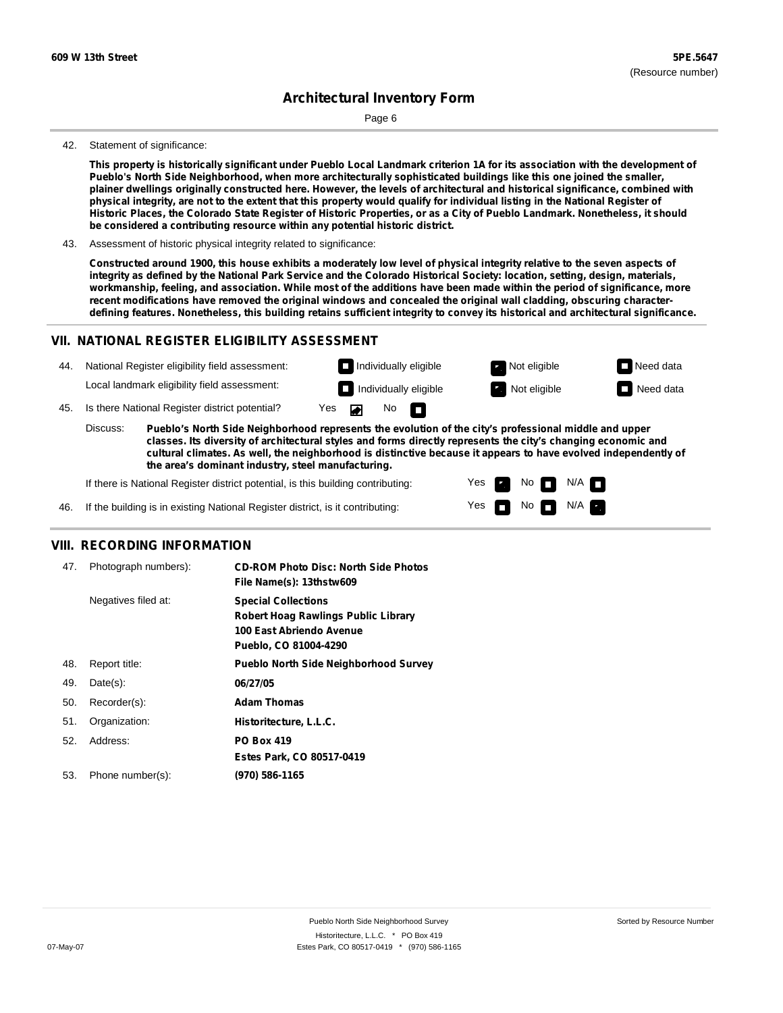Page 6

#### 42. Statement of significance:

This property is historically significant under Pueblo Local Landmark criterion 1A for its association with the development of **Pueblo's North Side Neighborhood, when more architecturally sophisticated buildings like this one joined the smaller,** plainer dwellings originally constructed here. However, the levels of architectural and historical significance, combined with physical integrity, are not to the extent that this property would qualify for individual listing in the National Register of Historic Places, the Colorado State Register of Historic Properties, or as a City of Pueblo Landmark. Nonetheless, it should **be considered a contributing resource within any potential historic district.**

43. Assessment of historic physical integrity related to significance:

Constructed around 1900, this house exhibits a moderately low level of physical integrity relative to the seven aspects of integrity as defined by the National Park Service and the Colorado Historical Society: location, setting, design, materials, workmanship, feeling, and association. While most of the additions have been made within the period of significance, more **recent modifications have removed the original windows and concealed the original wall cladding, obscuring character**defining features. Nonetheless, this building retains sufficient integrity to convey its historical and architectural significance.

#### **VII. NATIONAL REGISTER ELIGIBILITY ASSESSMENT**



**classes. Its diversity of architectural styles and forms directly represents the city's changing economic and cultural climates. As well, the neighborhood is distinctive because it appears to have evolved independently of the area's dominant industry, steel manufacturing.**

> Yes Yes

Non<sub>d</sub> N/A No  $\blacksquare$  N/A  $\blacksquare$ 

If there is National Register district potential, is this building contributing:

If the building is in existing National Register district, is it contributing: 46.

#### **VIII. RECORDING INFORMATION**

| 47. | Photograph numbers): | <b>CD-ROM Photo Disc: North Side Photos</b><br>File Name(s): 13thstw609                                                       |
|-----|----------------------|-------------------------------------------------------------------------------------------------------------------------------|
|     | Negatives filed at:  | <b>Special Collections</b><br><b>Robert Hoag Rawlings Public Library</b><br>100 East Abriendo Avenue<br>Pueblo, CO 81004-4290 |
| 48. | Report title:        | <b>Pueblo North Side Neighborhood Survey</b>                                                                                  |
| 49. | $Date(s)$ :          | 06/27/05                                                                                                                      |
| 50. | Recorder(s):         | <b>Adam Thomas</b>                                                                                                            |
| 51. | Organization:        | Historitecture, L.L.C.                                                                                                        |
| 52. | Address:             | <b>PO Box 419</b>                                                                                                             |
|     |                      | Estes Park, CO 80517-0419                                                                                                     |
| 53. | Phone number(s):     | (970) 586-1165                                                                                                                |
|     |                      |                                                                                                                               |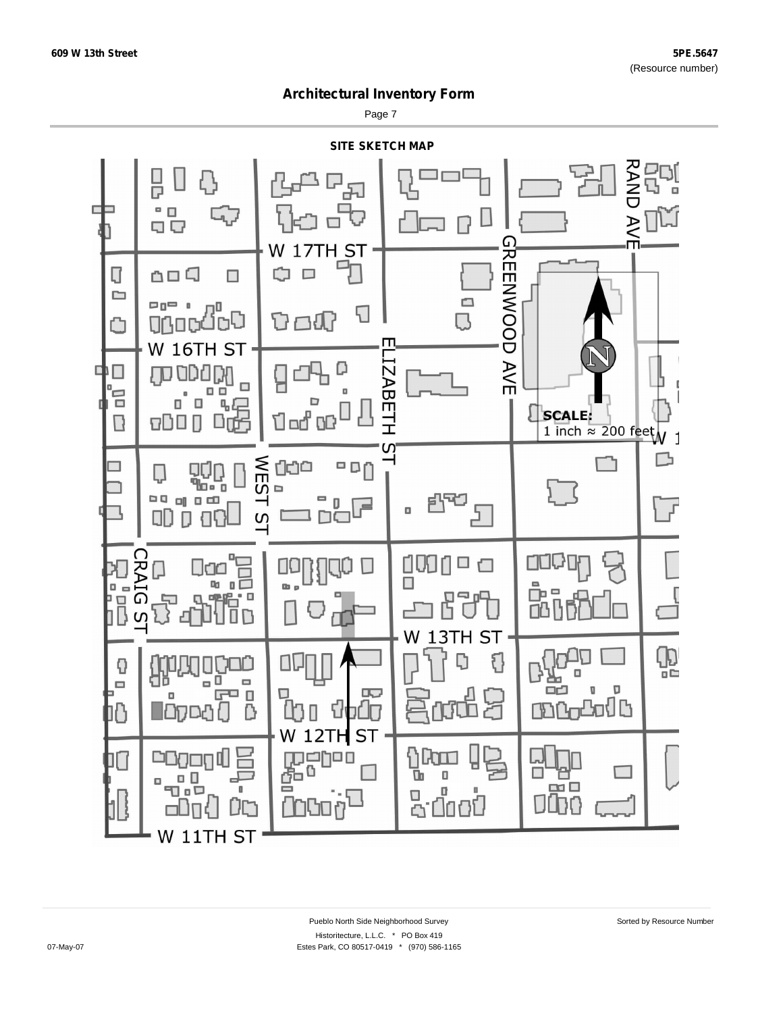Page 7